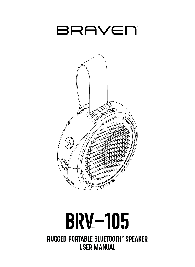



# **BRV-105** RUGGED PORTABLE BLUETOOTH® SPEAKER USER MANUAL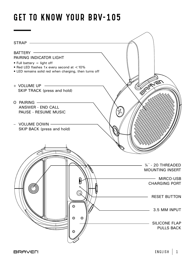## GET TO KNOW YOUR BRV-105

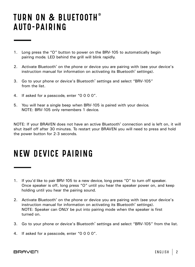## TURN ON & BLUETOOTH<sup>®</sup> AUTO-PAIRING

- 1. Long press the "O" button to power on the BRV-105 to automatically begin pairing mode. LED behind the grill will blink rapidly.
- 2. Activate Bluetooth<sup>®</sup> on the phone or device you are pairing with (see your device's instruction manual for information on activating its Bluetooth® settings).
- 3. Go to your phone or device's Bluetooth® settings and select "BRV-105" from the list.
- 4. If asked for a passcode, enter "0 0 0 0".
- 5. You will hear a single beep when BRV-105 is paired with your device. NOTE: BRV-105 only remembers 1 device.

NOTE: If your BRAVEN does not have an active Bluetooth® connection and is left on, it will shut itself off after 30 minutes. To restart your BRAVEN you will need to press and hold the power button for 2-3 seconds.

## NEW DEVICE PAIRING

- 1. If you'd like to pair BRV-105 to a new device, long press "O" to turn off speaker. Once speaker is off, long press "O" until you hear the speaker power on, and keep holding until you hear the pairing sound.
- 2. Activate Bluetooth® on the phone or device you are pairing with (see your device's instruction manual for information on activating its Bluetooth® settings). NOTE: Speaker can ONLY be put into pairing mode when the speaker is first turned on.
- 3. Go to your phone or device's Bluetooth® settings and select "BRV-105" from the list.
- 4. If asked for a passcode, enter "0 0 0 0".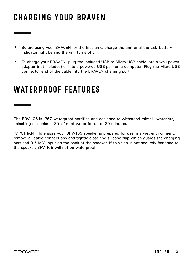# CHARGING YOUR BRAVEN

- Before using your BRAVEN for the first time, charge the unit until the LED battery indicator light behind the grill turns off.
- To charge your BRAVEN, plug the included USB-to-Micro-USB cable into a wall power adapter (not included) or into a powered USB port on a computer. Plug the Micro-USB connector end of the cable into the BRAVEN charging port.

### WATERPROOF FEATURES

The BRV-105 is IP67 waterproof certified and designed to withstand rainfall, waterjets, splashing or dunks in 3ft / 1m of water for up to 30 minutes.

IMPORTANT: To ensure your BRV-105 speaker is prepared for use in a wet environment, remove all cable connections and tightly close the silicone flap which guards the charging port and 3.5 MM input on the back of the speaker. If this flap is not securely fastened to the speaker, BRV-105 will not be waterproof.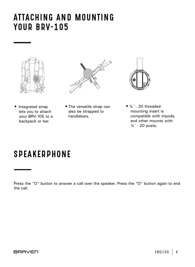#### ATTACHING AND MOUNTING YOUR BRV-105





- Integrated strap lets you to attach your BRV-105 to a backpack or bar.
- •The versatile strap can also be strapped to handlebars.



 $•$  ¼" - 20 threaded mounting insert is compatible with tripods, and other mounts with ¼" - 20 posts.

## **SPEAKERPHONE**

Press the "O" button to answer a call over the speaker. Press the "O" button again to end the call.